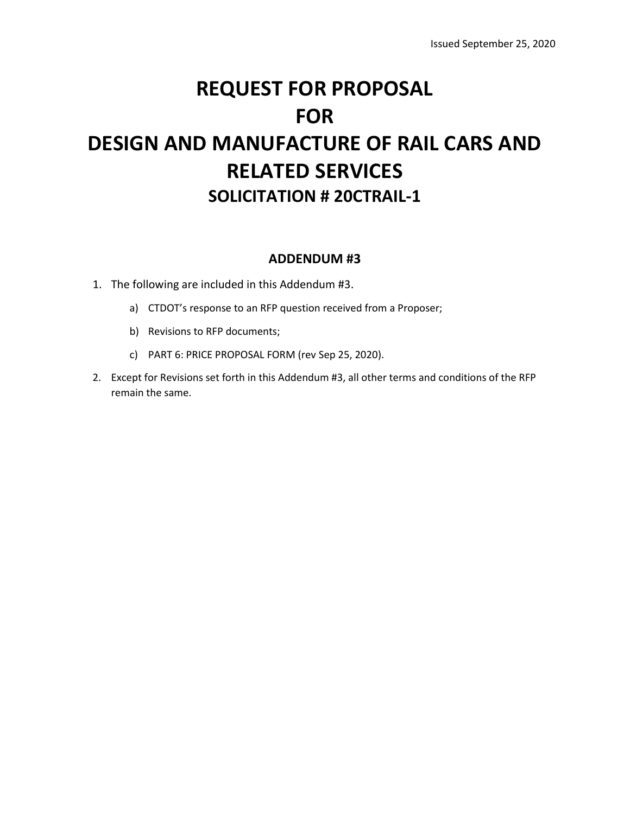# **REQUEST FOR PROPOSAL FOR DESIGN AND MANUFACTURE OF RAIL CARS AND RELATED SERVICES SOLICITATION # 20CTRAIL‐1**

# **ADDENDUM #3**

- 1. The following are included in this Addendum #3.
	- a) CTDOT's response to an RFP question received from a Proposer;
	- b) Revisions to RFP documents;
	- c) PART 6: PRICE PROPOSAL FORM (rev Sep 25, 2020).
- 2. Except for Revisions set forth in this Addendum #3, all other terms and conditions of the RFP remain the same.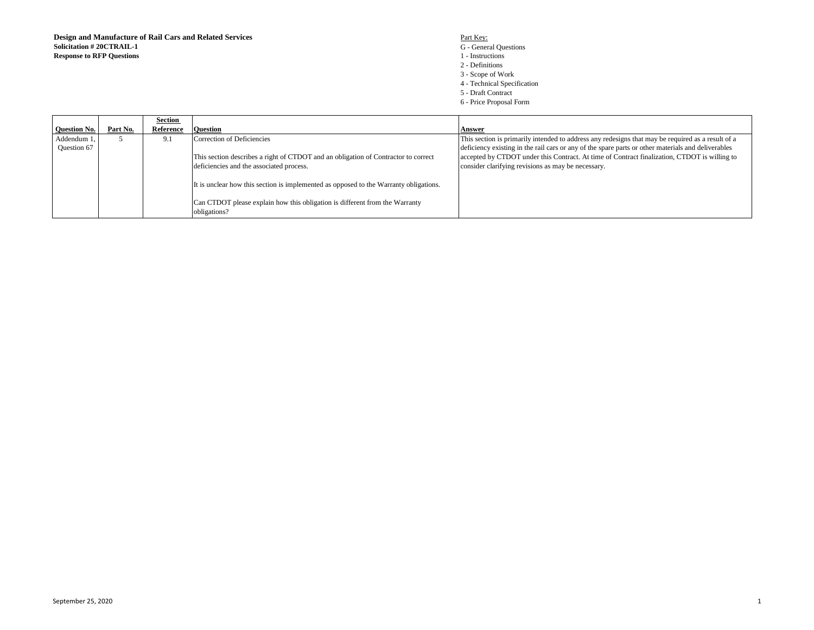#### G - General Questions 1 - Instructions 2 - Definitions 3 - Scope of Work

- 4 Technical Specification
- 5 Draft Contract
- 6 Price Proposal Form

|                     |          | Section   |                                                                                             |                                                                                                    |
|---------------------|----------|-----------|---------------------------------------------------------------------------------------------|----------------------------------------------------------------------------------------------------|
| <b>Ouestion No.</b> | Part No. | Reference | <b>Ouestion</b>                                                                             | Answer                                                                                             |
| Addendum 1          |          | 9.1       | Correction of Deficiencies                                                                  | This section is primarily intended to address any redesigns that may be required as a result of a  |
| <b>Ouestion 67</b>  |          |           |                                                                                             | deficiency existing in the rail cars or any of the spare parts or other materials and deliverables |
|                     |          |           | This section describes a right of CTDOT and an obligation of Contractor to correct          | accepted by CTDOT under this Contract. At time of Contract finalization, CTDOT is willing to       |
|                     |          |           | deficiencies and the associated process.                                                    | consider clarifying revisions as may be necessary.                                                 |
|                     |          |           | It is unclear how this section is implemented as opposed to the Warranty obligations.       |                                                                                                    |
|                     |          |           | Can CTDOT please explain how this obligation is different from the Warranty<br>obligations? |                                                                                                    |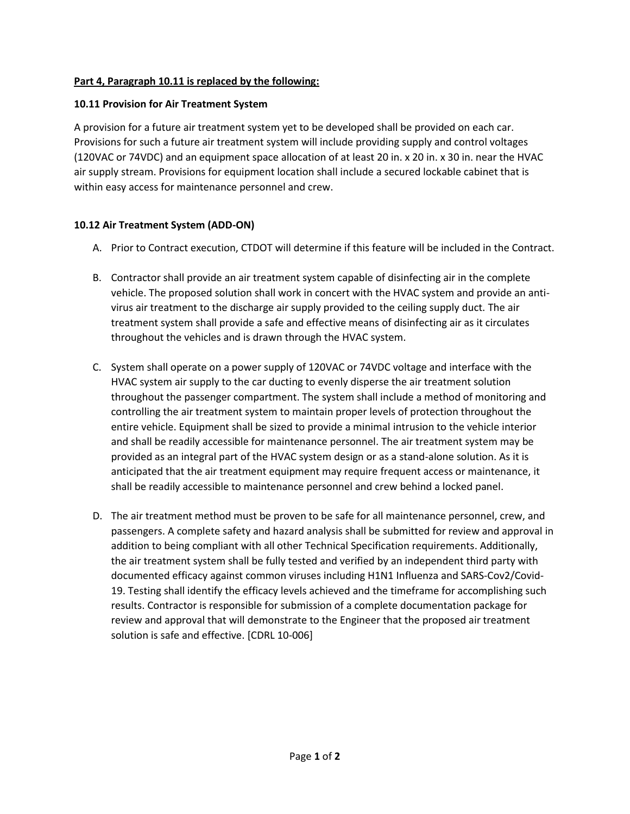## **Part 4, Paragraph 10.11 is replaced by the following:**

## **10.11 Provision for Air Treatment System**

A provision for a future air treatment system yet to be developed shall be provided on each car. Provisions for such a future air treatment system will include providing supply and control voltages (120VAC or 74VDC) and an equipment space allocation of at least 20 in. x 20 in. x 30 in. near the HVAC air supply stream. Provisions for equipment location shall include a secured lockable cabinet that is within easy access for maintenance personnel and crew.

# **10.12 Air Treatment System (ADD-ON)**

- A. Prior to Contract execution, CTDOT will determine if this feature will be included in the Contract.
- B. Contractor shall provide an air treatment system capable of disinfecting air in the complete vehicle. The proposed solution shall work in concert with the HVAC system and provide an antivirus air treatment to the discharge air supply provided to the ceiling supply duct. The air treatment system shall provide a safe and effective means of disinfecting air as it circulates throughout the vehicles and is drawn through the HVAC system.
- C. System shall operate on a power supply of 120VAC or 74VDC voltage and interface with the HVAC system air supply to the car ducting to evenly disperse the air treatment solution throughout the passenger compartment. The system shall include a method of monitoring and controlling the air treatment system to maintain proper levels of protection throughout the entire vehicle. Equipment shall be sized to provide a minimal intrusion to the vehicle interior and shall be readily accessible for maintenance personnel. The air treatment system may be provided as an integral part of the HVAC system design or as a stand-alone solution. As it is anticipated that the air treatment equipment may require frequent access or maintenance, it shall be readily accessible to maintenance personnel and crew behind a locked panel.
- D. The air treatment method must be proven to be safe for all maintenance personnel, crew, and passengers. A complete safety and hazard analysis shall be submitted for review and approval in addition to being compliant with all other Technical Specification requirements. Additionally, the air treatment system shall be fully tested and verified by an independent third party with documented efficacy against common viruses including H1N1 Influenza and SARS-Cov2/Covid-19. Testing shall identify the efficacy levels achieved and the timeframe for accomplishing such results. Contractor is responsible for submission of a complete documentation package for review and approval that will demonstrate to the Engineer that the proposed air treatment solution is safe and effective. [CDRL 10-006]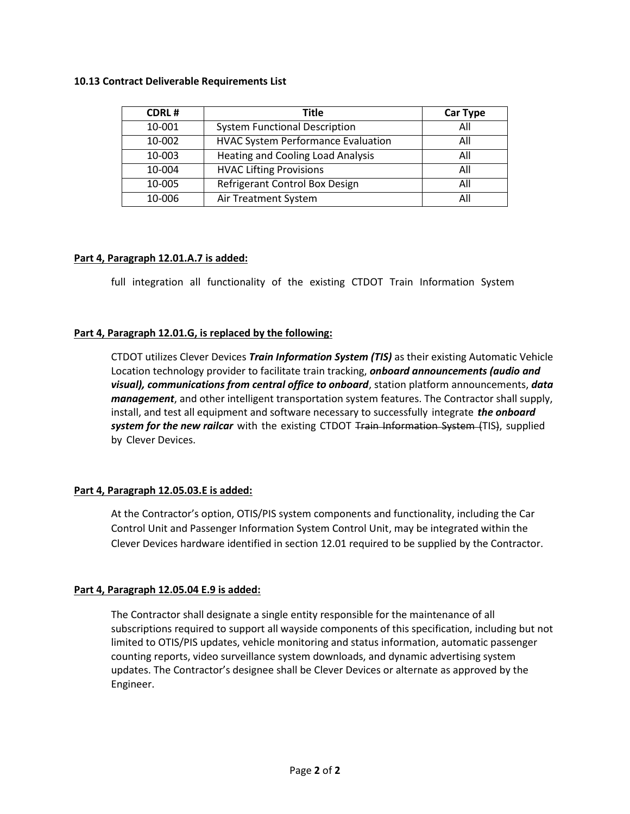#### **10.13 Contract Deliverable Requirements List**

| <b>CDRL#</b> | <b>Title</b>                              | <b>Car Type</b> |
|--------------|-------------------------------------------|-----------------|
| 10-001       | <b>System Functional Description</b>      | All             |
| 10-002       | <b>HVAC System Performance Evaluation</b> | All             |
| 10-003       | <b>Heating and Cooling Load Analysis</b>  | All             |
| 10-004       | <b>HVAC Lifting Provisions</b>            | All             |
| 10-005       | Refrigerant Control Box Design            | All             |
| 10-006       | Air Treatment System                      | All             |

#### **Part 4, Paragraph 12.01.A.7 is added:**

full integration all functionality of the existing CTDOT Train Information System

#### **Part 4, Paragraph 12.01.G, is replaced by the following:**

CTDOT utilizes Clever Devices *Train Information System (TIS)* as their existing Automatic Vehicle Location technology provider to facilitate train tracking, *onboard announcements (audio and visual), communications from central office to onboard*, station platform announcements, *data management*, and other intelligent transportation system features. The Contractor shall supply, install, and test all equipment and software necessary to successfully integrate *the onboard system for the new railcar* with the existing CTDOT Train Information System (TIS), supplied by Clever Devices.

#### **Part 4, Paragraph 12.05.03.E is added:**

At the Contractor's option, OTIS/PIS system components and functionality, including the Car Control Unit and Passenger Information System Control Unit, may be integrated within the Clever Devices hardware identified in section 12.01 required to be supplied by the Contractor.

#### **Part 4, Paragraph 12.05.04 E.9 is added:**

The Contractor shall designate a single entity responsible for the maintenance of all subscriptions required to support all wayside components of this specification, including but not limited to OTIS/PIS updates, vehicle monitoring and status information, automatic passenger counting reports, video surveillance system downloads, and dynamic advertising system updates. The Contractor's designee shall be Clever Devices or alternate as approved by the Engineer.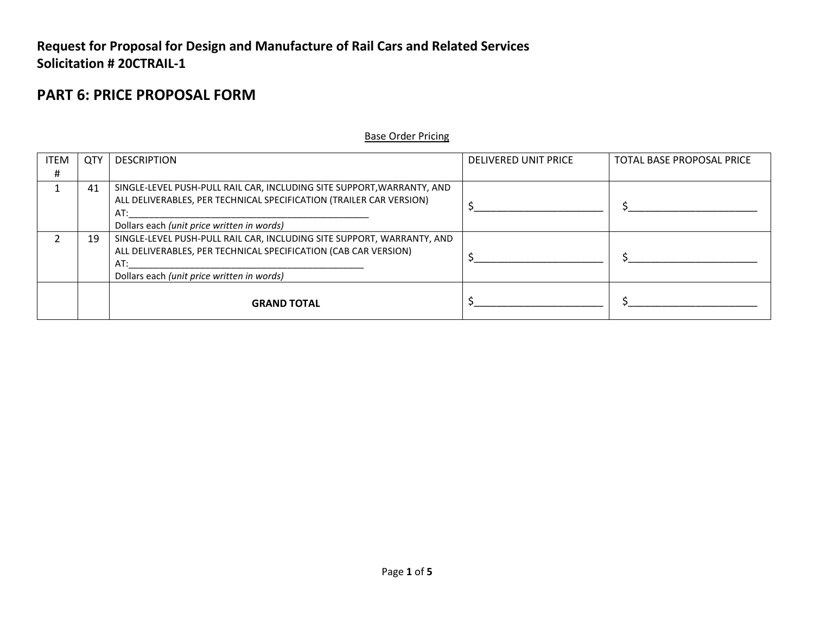# **Request for Proposal for Design and Manufacture of Rail Cars and Related Services Solicitation # 20CTRAIL-1**

# **PART 6: PRICE PROPOSAL FORM**

#### Base Order Pricing

| <b>ITEM</b> | <b>QTY</b> | <b>DESCRIPTION</b>                                                                                                                                                                             | DELIVERED UNIT PRICE | TOTAL BASE PROPOSAL PRICE |
|-------------|------------|------------------------------------------------------------------------------------------------------------------------------------------------------------------------------------------------|----------------------|---------------------------|
| #           |            |                                                                                                                                                                                                |                      |                           |
|             | 41         | SINGLE-LEVEL PUSH-PULL RAIL CAR, INCLUDING SITE SUPPORT, WARRANTY, AND<br>ALL DELIVERABLES, PER TECHNICAL SPECIFICATION (TRAILER CAR VERSION)<br>AT:                                           |                      |                           |
|             |            | Dollars each (unit price written in words)                                                                                                                                                     |                      |                           |
|             | 19         | SINGLE-LEVEL PUSH-PULL RAIL CAR, INCLUDING SITE SUPPORT, WARRANTY, AND<br>ALL DELIVERABLES, PER TECHNICAL SPECIFICATION (CAB CAR VERSION)<br>AT:<br>Dollars each (unit price written in words) |                      |                           |
|             |            | <b>GRAND TOTAL</b>                                                                                                                                                                             |                      |                           |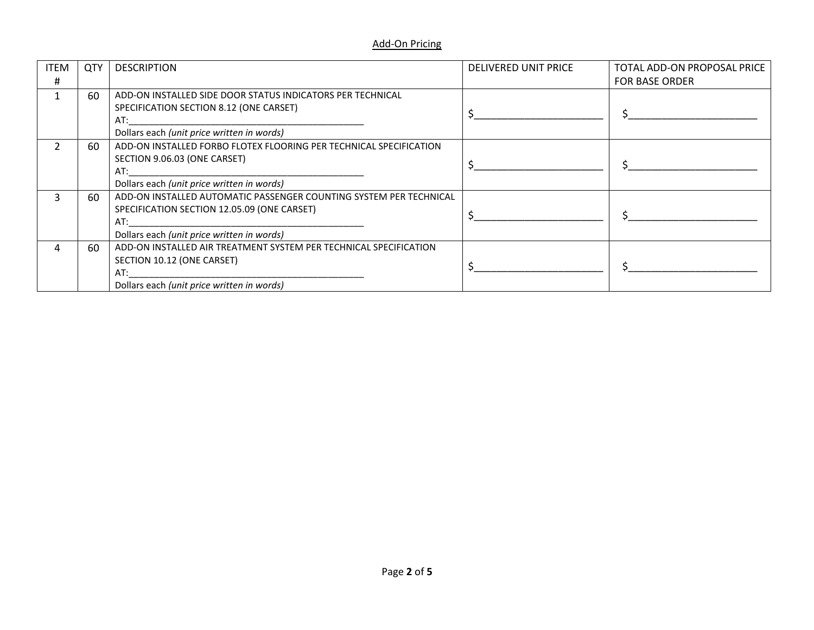### Add-On Pricing

| <b>ITEM</b> | <b>QTY</b> | <b>DESCRIPTION</b>                                                                                                                                                     | <b>DELIVERED UNIT PRICE</b> | TOTAL ADD-ON PROPOSAL PRICE |
|-------------|------------|------------------------------------------------------------------------------------------------------------------------------------------------------------------------|-----------------------------|-----------------------------|
| #           |            |                                                                                                                                                                        |                             | <b>FOR BASE ORDER</b>       |
|             | 60         | ADD-ON INSTALLED SIDE DOOR STATUS INDICATORS PER TECHNICAL<br>SPECIFICATION SECTION 8.12 (ONE CARSET)<br>AT:<br>Dollars each (unit price written in words)             |                             |                             |
|             | 60         | ADD-ON INSTALLED FORBO FLOTEX FLOORING PER TECHNICAL SPECIFICATION<br>SECTION 9.06.03 (ONE CARSET)<br>AT:<br>Dollars each (unit price written in words)                |                             |                             |
|             | 60         | ADD-ON INSTALLED AUTOMATIC PASSENGER COUNTING SYSTEM PER TECHNICAL<br>SPECIFICATION SECTION 12.05.09 (ONE CARSET)<br>AT:<br>Dollars each (unit price written in words) |                             |                             |
|             | 60         | ADD-ON INSTALLED AIR TREATMENT SYSTEM PER TECHNICAL SPECIFICATION<br>SECTION 10.12 (ONE CARSET)<br>AT:<br>Dollars each (unit price written in words)                   |                             |                             |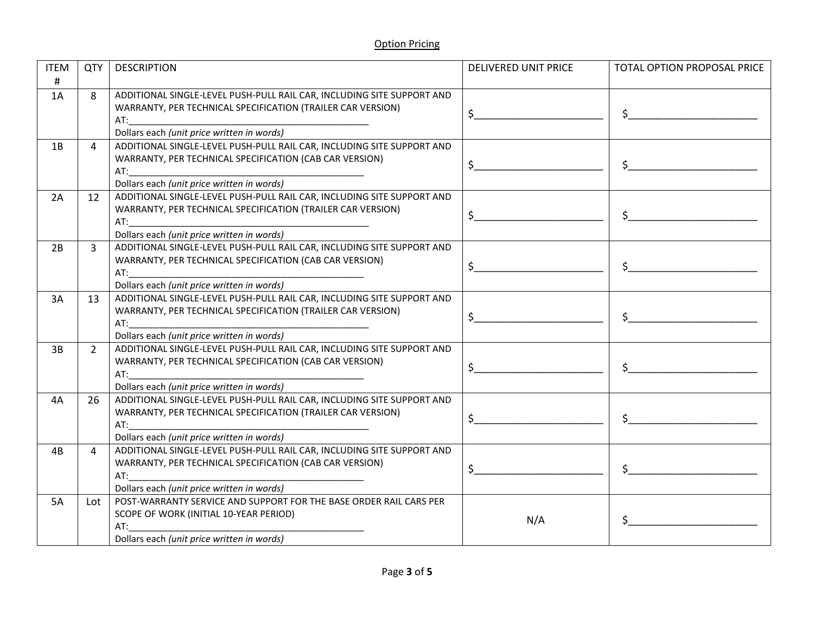| <b>ITEM</b> | QTY            | <b>DESCRIPTION</b>                                                                                                                                                                                                                                                                        | <b>DELIVERED UNIT PRICE</b> | TOTAL OPTION PROPOSAL PRICE |
|-------------|----------------|-------------------------------------------------------------------------------------------------------------------------------------------------------------------------------------------------------------------------------------------------------------------------------------------|-----------------------------|-----------------------------|
| $\#$        |                |                                                                                                                                                                                                                                                                                           |                             |                             |
| 1A          | 8              | ADDITIONAL SINGLE-LEVEL PUSH-PULL RAIL CAR, INCLUDING SITE SUPPORT AND                                                                                                                                                                                                                    |                             |                             |
|             |                | WARRANTY, PER TECHNICAL SPECIFICATION (TRAILER CAR VERSION)                                                                                                                                                                                                                               | $\zeta$                     |                             |
|             |                | AT:                                                                                                                                                                                                                                                                                       |                             |                             |
|             |                | Dollars each (unit price written in words)                                                                                                                                                                                                                                                |                             |                             |
| 1B          | 4              | ADDITIONAL SINGLE-LEVEL PUSH-PULL RAIL CAR, INCLUDING SITE SUPPORT AND                                                                                                                                                                                                                    |                             |                             |
|             |                | WARRANTY, PER TECHNICAL SPECIFICATION (CAB CAR VERSION)                                                                                                                                                                                                                                   | $\zeta$                     |                             |
|             |                | AT:                                                                                                                                                                                                                                                                                       |                             |                             |
|             |                | Dollars each (unit price written in words)                                                                                                                                                                                                                                                |                             |                             |
| 2A          | 12             | ADDITIONAL SINGLE-LEVEL PUSH-PULL RAIL CAR, INCLUDING SITE SUPPORT AND                                                                                                                                                                                                                    |                             |                             |
|             |                | WARRANTY, PER TECHNICAL SPECIFICATION (TRAILER CAR VERSION)                                                                                                                                                                                                                               | $\mathsf{S}$                |                             |
|             |                | AT:                                                                                                                                                                                                                                                                                       |                             |                             |
|             |                | Dollars each (unit price written in words)<br>ADDITIONAL SINGLE-LEVEL PUSH-PULL RAIL CAR, INCLUDING SITE SUPPORT AND                                                                                                                                                                      |                             |                             |
| 2B          | $\overline{3}$ |                                                                                                                                                                                                                                                                                           |                             |                             |
|             |                | WARRANTY, PER TECHNICAL SPECIFICATION (CAB CAR VERSION)<br>AT: the contract of the contract of the contract of the contract of the contract of the contract of the contract of the contract of the contract of the contract of the contract of the contract of the contract of the contra | $\ddot{\mathsf{S}}$         |                             |
|             |                | Dollars each (unit price written in words)                                                                                                                                                                                                                                                |                             |                             |
| 3A          | 13             | ADDITIONAL SINGLE-LEVEL PUSH-PULL RAIL CAR, INCLUDING SITE SUPPORT AND                                                                                                                                                                                                                    |                             |                             |
|             |                | WARRANTY, PER TECHNICAL SPECIFICATION (TRAILER CAR VERSION)                                                                                                                                                                                                                               |                             |                             |
|             |                |                                                                                                                                                                                                                                                                                           | $\mathsf{S}$                |                             |
|             |                | Dollars each (unit price written in words)                                                                                                                                                                                                                                                |                             |                             |
| 3B          | $2^{\circ}$    | ADDITIONAL SINGLE-LEVEL PUSH-PULL RAIL CAR, INCLUDING SITE SUPPORT AND                                                                                                                                                                                                                    |                             |                             |
|             |                | WARRANTY, PER TECHNICAL SPECIFICATION (CAB CAR VERSION)                                                                                                                                                                                                                                   | $\zeta$                     |                             |
|             |                |                                                                                                                                                                                                                                                                                           |                             |                             |
|             |                | Dollars each (unit price written in words)                                                                                                                                                                                                                                                |                             |                             |
| 4A          | 26             | ADDITIONAL SINGLE-LEVEL PUSH-PULL RAIL CAR, INCLUDING SITE SUPPORT AND                                                                                                                                                                                                                    |                             |                             |
|             |                | WARRANTY, PER TECHNICAL SPECIFICATION (TRAILER CAR VERSION)                                                                                                                                                                                                                               | $\ddot{\xi}$                | $\sharp$                    |
|             |                | AT:                                                                                                                                                                                                                                                                                       |                             |                             |
|             |                | Dollars each (unit price written in words)                                                                                                                                                                                                                                                |                             |                             |
| 4B          | 4              | ADDITIONAL SINGLE-LEVEL PUSH-PULL RAIL CAR, INCLUDING SITE SUPPORT AND                                                                                                                                                                                                                    |                             |                             |
|             |                | WARRANTY, PER TECHNICAL SPECIFICATION (CAB CAR VERSION)                                                                                                                                                                                                                                   | $\sharp$                    | $\sharp$                    |
|             |                | AT:                                                                                                                                                                                                                                                                                       |                             |                             |
|             |                | Dollars each (unit price written in words)                                                                                                                                                                                                                                                |                             |                             |
| 5A          | Lot            | POST-WARRANTY SERVICE AND SUPPORT FOR THE BASE ORDER RAIL CARS PER                                                                                                                                                                                                                        |                             |                             |
|             |                | SCOPE OF WORK (INITIAL 10-YEAR PERIOD)<br>AT:                                                                                                                                                                                                                                             | N/A                         |                             |
|             |                | Dollars each (unit price written in words)                                                                                                                                                                                                                                                |                             |                             |
|             |                |                                                                                                                                                                                                                                                                                           |                             |                             |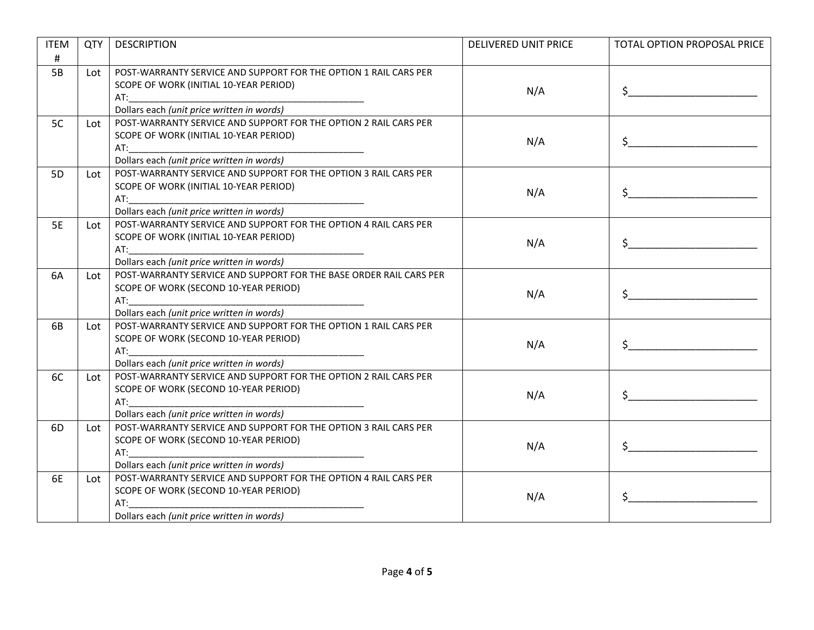| <b>ITEM</b>    | QTY | <b>DESCRIPTION</b>                                                                                                                                                                                                             | <b>DELIVERED UNIT PRICE</b> | TOTAL OPTION PROPOSAL PRICE                                                                                                                                                                                                                                                                                                                         |
|----------------|-----|--------------------------------------------------------------------------------------------------------------------------------------------------------------------------------------------------------------------------------|-----------------------------|-----------------------------------------------------------------------------------------------------------------------------------------------------------------------------------------------------------------------------------------------------------------------------------------------------------------------------------------------------|
| #              |     |                                                                                                                                                                                                                                |                             |                                                                                                                                                                                                                                                                                                                                                     |
| 5B             | Lot | POST-WARRANTY SERVICE AND SUPPORT FOR THE OPTION 1 RAIL CARS PER                                                                                                                                                               |                             |                                                                                                                                                                                                                                                                                                                                                     |
|                |     | SCOPE OF WORK (INITIAL 10-YEAR PERIOD)                                                                                                                                                                                         | N/A                         |                                                                                                                                                                                                                                                                                                                                                     |
|                |     |                                                                                                                                                                                                                                |                             | $\mathsf{S} \hspace{0.03in} \underbrace{\hspace{0.03in}}$                                                                                                                                                                                                                                                                                           |
|                |     | Dollars each (unit price written in words)                                                                                                                                                                                     |                             |                                                                                                                                                                                                                                                                                                                                                     |
| 5C             | Lot | POST-WARRANTY SERVICE AND SUPPORT FOR THE OPTION 2 RAIL CARS PER                                                                                                                                                               |                             |                                                                                                                                                                                                                                                                                                                                                     |
|                |     | SCOPE OF WORK (INITIAL 10-YEAR PERIOD)                                                                                                                                                                                         | N/A                         | $\ddot{\mathsf{S}}$                                                                                                                                                                                                                                                                                                                                 |
|                |     |                                                                                                                                                                                                                                |                             |                                                                                                                                                                                                                                                                                                                                                     |
|                |     | Dollars each (unit price written in words)                                                                                                                                                                                     |                             |                                                                                                                                                                                                                                                                                                                                                     |
| 5 <sub>D</sub> | Lot | POST-WARRANTY SERVICE AND SUPPORT FOR THE OPTION 3 RAIL CARS PER                                                                                                                                                               |                             |                                                                                                                                                                                                                                                                                                                                                     |
|                |     | SCOPE OF WORK (INITIAL 10-YEAR PERIOD)                                                                                                                                                                                         | N/A                         | $\mathsf{\$}$                                                                                                                                                                                                                                                                                                                                       |
|                |     | AT:                                                                                                                                                                                                                            |                             |                                                                                                                                                                                                                                                                                                                                                     |
|                |     | Dollars each (unit price written in words)                                                                                                                                                                                     |                             |                                                                                                                                                                                                                                                                                                                                                     |
| <b>5E</b>      | Lot | POST-WARRANTY SERVICE AND SUPPORT FOR THE OPTION 4 RAIL CARS PER                                                                                                                                                               |                             |                                                                                                                                                                                                                                                                                                                                                     |
|                |     | SCOPE OF WORK (INITIAL 10-YEAR PERIOD)                                                                                                                                                                                         | N/A                         |                                                                                                                                                                                                                                                                                                                                                     |
|                |     | AT:                                                                                                                                                                                                                            |                             |                                                                                                                                                                                                                                                                                                                                                     |
|                |     | Dollars each (unit price written in words)                                                                                                                                                                                     |                             |                                                                                                                                                                                                                                                                                                                                                     |
| 6A             | Lot | POST-WARRANTY SERVICE AND SUPPORT FOR THE BASE ORDER RAIL CARS PER                                                                                                                                                             |                             |                                                                                                                                                                                                                                                                                                                                                     |
|                |     | SCOPE OF WORK (SECOND 10-YEAR PERIOD)                                                                                                                                                                                          | N/A                         | $\sim$ $\sim$                                                                                                                                                                                                                                                                                                                                       |
|                |     | AT: the contract of the contract of the contract of the contract of the contract of the contract of the contract of the contract of the contract of the contract of the contract of the contract of the contract of the contra |                             |                                                                                                                                                                                                                                                                                                                                                     |
|                |     | Dollars each (unit price written in words)<br>POST-WARRANTY SERVICE AND SUPPORT FOR THE OPTION 1 RAIL CARS PER                                                                                                                 |                             |                                                                                                                                                                                                                                                                                                                                                     |
| 6B             | Lot | SCOPE OF WORK (SECOND 10-YEAR PERIOD)                                                                                                                                                                                          |                             |                                                                                                                                                                                                                                                                                                                                                     |
|                |     |                                                                                                                                                                                                                                | N/A                         | $\begin{picture}(20,10) \put(0,0){\line(1,0){10}} \put(15,0){\line(1,0){10}} \put(15,0){\line(1,0){10}} \put(15,0){\line(1,0){10}} \put(15,0){\line(1,0){10}} \put(15,0){\line(1,0){10}} \put(15,0){\line(1,0){10}} \put(15,0){\line(1,0){10}} \put(15,0){\line(1,0){10}} \put(15,0){\line(1,0){10}} \put(15,0){\line(1,0){10}} \put(15,0){\line(1$ |
|                |     | Dollars each (unit price written in words)                                                                                                                                                                                     |                             |                                                                                                                                                                                                                                                                                                                                                     |
| 6C             | Lot | POST-WARRANTY SERVICE AND SUPPORT FOR THE OPTION 2 RAIL CARS PER                                                                                                                                                               |                             |                                                                                                                                                                                                                                                                                                                                                     |
|                |     | SCOPE OF WORK (SECOND 10-YEAR PERIOD)                                                                                                                                                                                          |                             |                                                                                                                                                                                                                                                                                                                                                     |
|                |     |                                                                                                                                                                                                                                | N/A                         |                                                                                                                                                                                                                                                                                                                                                     |
|                |     | Dollars each (unit price written in words)                                                                                                                                                                                     |                             |                                                                                                                                                                                                                                                                                                                                                     |
| 6D             | Lot | POST-WARRANTY SERVICE AND SUPPORT FOR THE OPTION 3 RAIL CARS PER                                                                                                                                                               |                             |                                                                                                                                                                                                                                                                                                                                                     |
|                |     | SCOPE OF WORK (SECOND 10-YEAR PERIOD)                                                                                                                                                                                          |                             |                                                                                                                                                                                                                                                                                                                                                     |
|                |     | AT:                                                                                                                                                                                                                            | N/A                         | $\begin{array}{c} \texttt{S} \end{array}$                                                                                                                                                                                                                                                                                                           |
|                |     | Dollars each (unit price written in words)                                                                                                                                                                                     |                             |                                                                                                                                                                                                                                                                                                                                                     |
| 6E             | Lot | POST-WARRANTY SERVICE AND SUPPORT FOR THE OPTION 4 RAIL CARS PER                                                                                                                                                               |                             |                                                                                                                                                                                                                                                                                                                                                     |
|                |     | SCOPE OF WORK (SECOND 10-YEAR PERIOD)                                                                                                                                                                                          |                             |                                                                                                                                                                                                                                                                                                                                                     |
|                |     | AT:                                                                                                                                                                                                                            | N/A                         | $\frac{1}{2}$                                                                                                                                                                                                                                                                                                                                       |
|                |     | Dollars each (unit price written in words)                                                                                                                                                                                     |                             |                                                                                                                                                                                                                                                                                                                                                     |